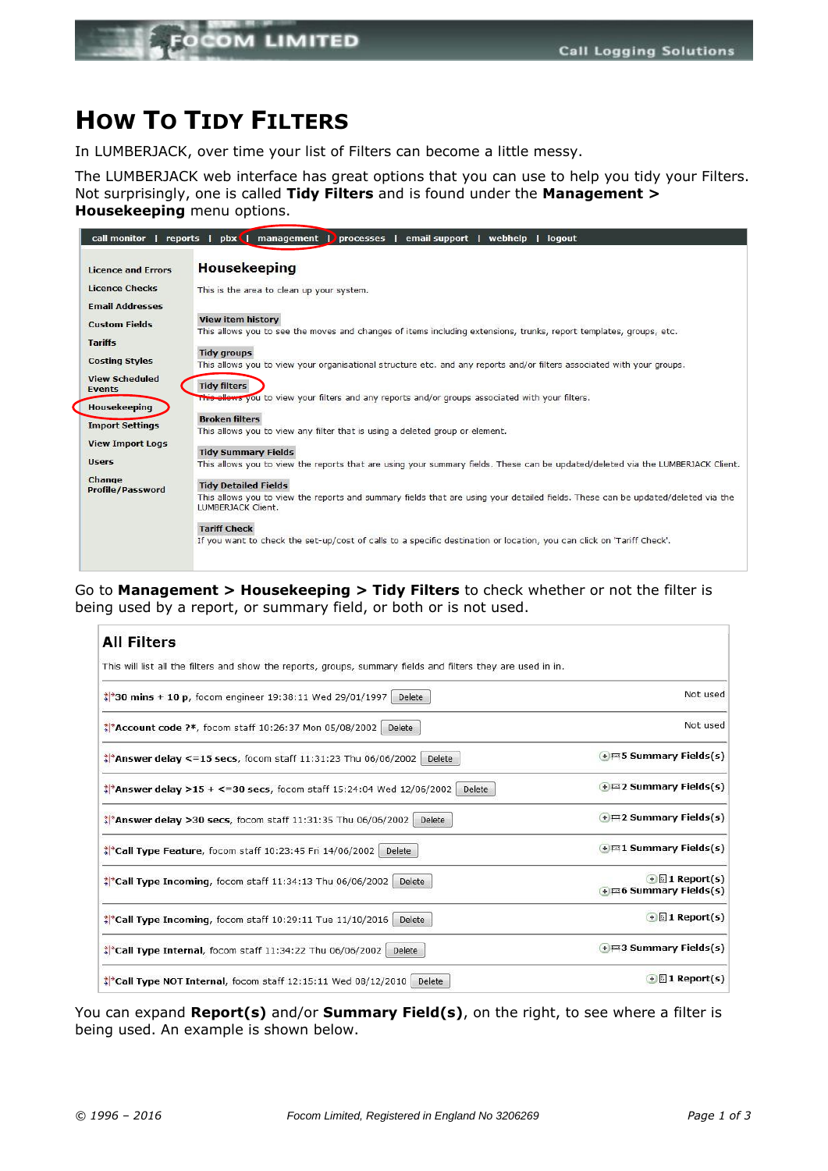

## **HOW TO TIDY FILTERS**

In LUMBERJACK, over time your list of Filters can become a little messy.

The LUMBERJACK web interface has great options that you can use to help you tidy your Filters. Not surprisingly, one is called **Tidy Filters** and is found under the **Management > Housekeeping** menu options.

| call monitor                                                                                                                                                           | pbx   management   processes<br>email support  <br>reports  <br>webhelp  <br>logout                                                                    |  |  |  |  |  |  |  |
|------------------------------------------------------------------------------------------------------------------------------------------------------------------------|--------------------------------------------------------------------------------------------------------------------------------------------------------|--|--|--|--|--|--|--|
| <b>Licence and Errors</b>                                                                                                                                              | <b>Housekeeping</b>                                                                                                                                    |  |  |  |  |  |  |  |
| <b>Licence Checks</b>                                                                                                                                                  | This is the area to clean up your system.                                                                                                              |  |  |  |  |  |  |  |
| <b>Email Addresses</b>                                                                                                                                                 |                                                                                                                                                        |  |  |  |  |  |  |  |
| <b>View item history</b><br><b>Custom Fields</b><br>This allows you to see the moves and changes of items including extensions, trunks, report templates, groups, etc. |                                                                                                                                                        |  |  |  |  |  |  |  |
| <b>Tariffs</b>                                                                                                                                                         |                                                                                                                                                        |  |  |  |  |  |  |  |
| <b>Costing Styles</b>                                                                                                                                                  | <b>Tidy groups</b><br>This allows you to view your organisational structure etc. and any reports and/or filters associated with your groups.           |  |  |  |  |  |  |  |
| <b>View Scheduled</b><br><b>Events</b>                                                                                                                                 | <b>Tidy filters</b><br>This allows you to view your filters and any reports and/or groups associated with your filters.                                |  |  |  |  |  |  |  |
| <b>Housekeeping</b>                                                                                                                                                    |                                                                                                                                                        |  |  |  |  |  |  |  |
| <b>Import Settings</b>                                                                                                                                                 | <b>Broken filters</b>                                                                                                                                  |  |  |  |  |  |  |  |
|                                                                                                                                                                        | This allows you to view any filter that is using a deleted group or element.                                                                           |  |  |  |  |  |  |  |
| <b>View Import Logs</b><br><b>Tidy Summary Fields</b>                                                                                                                  |                                                                                                                                                        |  |  |  |  |  |  |  |
| <b>Users</b>                                                                                                                                                           | This allows you to view the reports that are using your summary fields. These can be updated/deleted via the LUMBERJACK Client.                        |  |  |  |  |  |  |  |
| Change<br><b>Profile/Password</b>                                                                                                                                      | <b>Tidy Detailed Fields</b>                                                                                                                            |  |  |  |  |  |  |  |
|                                                                                                                                                                        | This allows you to view the reports and summary fields that are using your detailed fields. These can be updated/deleted via the<br>LUMBERJACK Client. |  |  |  |  |  |  |  |
|                                                                                                                                                                        | <b>Tariff Check</b>                                                                                                                                    |  |  |  |  |  |  |  |
|                                                                                                                                                                        | If you want to check the set-up/cost of calls to a specific destination or location, you can click on 'Tariff Check'.                                  |  |  |  |  |  |  |  |
|                                                                                                                                                                        |                                                                                                                                                        |  |  |  |  |  |  |  |

Go to **Management > Housekeeping > Tidy Filters** to check whether or not the filter is being used by a report, or summary field, or both or is not used.

| <b>All Filters</b>                                                                                           |                                                    |
|--------------------------------------------------------------------------------------------------------------|----------------------------------------------------|
| This will list all the filters and show the reports, groups, summary fields and filters they are used in in. |                                                    |
| $\frac{1}{2}$ 30 mins + 10 p, focom engineer 19:38:11 Wed 29/01/1997<br>Delete                               | Not used                                           |
| <b>Account code ?*, focom staff 10:26:37 Mon 05/08/2002</b><br><b>Delete</b>                                 | Not used                                           |
| <b>Answer delay &lt;=15 secs</b> , focom staff 11:31:23 Thu 06/06/2002<br><b>Delete</b>                      | $+$ $\equiv$ 5 Summary Fields(s)                   |
| $\frac{1}{2}$ <sup>*</sup> Answer delay >15 + <=30 secs, focom staff 15:24:04 Wed 12/06/2002<br>Delete       | +=2 Summary Fields(s)                              |
| $\frac{1}{2}$ Answer delay >30 secs, focom staff 11:31:35 Thu 06/06/2002<br>Delete                           | $+$ = 2 Summary Fields(s)                          |
| $\frac{1}{2}$ Call Type Feature, focom staff 10:23:45 Fri 14/06/2002<br>Delete                               | $+$ = 1 Summary Fields(s)                          |
| $\frac{1}{2}$ Call Type Incoming, focom staff 11:34:13 Thu 06/06/2002<br>Delete                              | $\bigoplus$ 1 Report(s)<br>+ = 6 Summary Fields(s) |
| $\frac{1}{2}$ Call Type Incoming, focom staff 10:29:11 Tue 11/10/2016<br>Delete                              | $\bigoplus$ 1 Report(s)                            |
| $\frac{1}{2}$ Call Type Internal, focom staff 11:34:22 Thu 06/06/2002<br>Delete                              | $\bigoplus$ 3 Summary Fields(s)                    |
| $\frac{1}{2}$ Call Type NOT Internal, focom staff 12:15:11 Wed 08/12/2010<br>Delete                          | $\bigoplus$ 1 Report(s)                            |

You can expand **Report(s)** and/or **Summary Field(s)**, on the right, to see where a filter is being used. An example is shown below.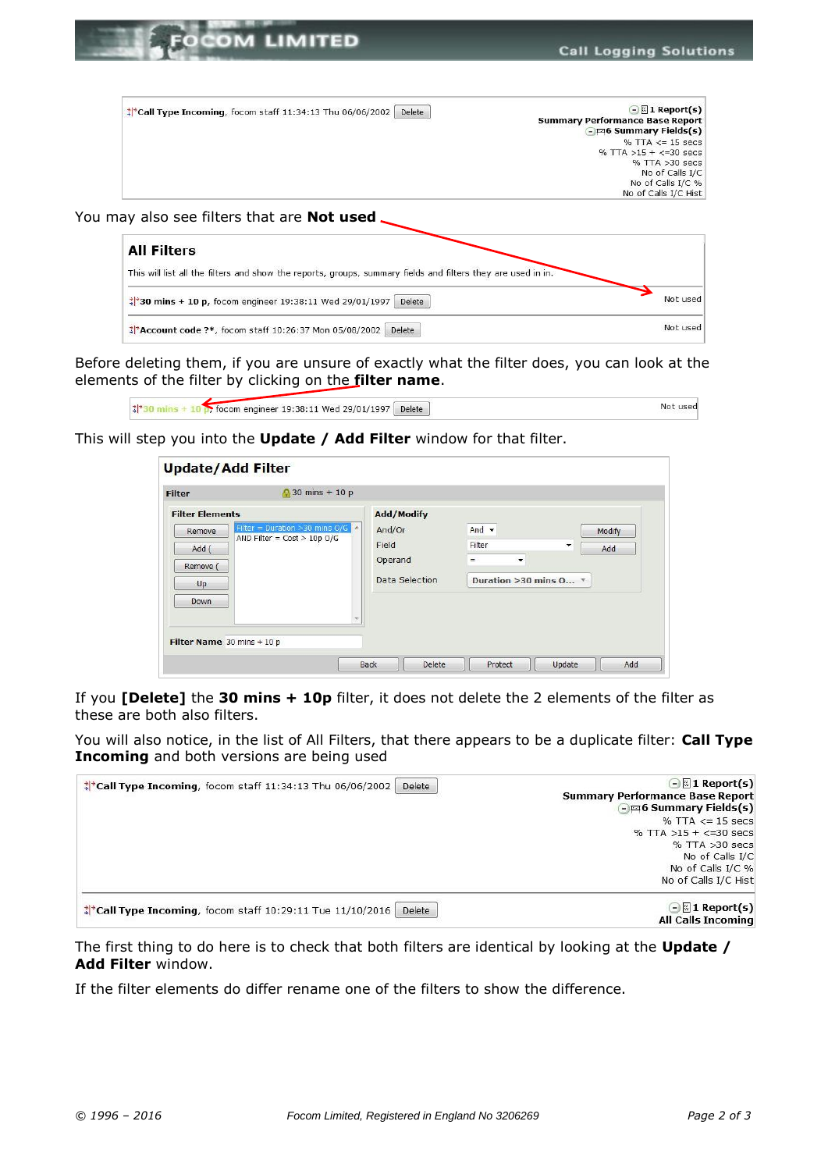

| <b>All Filters</b>                                                                                           |          |
|--------------------------------------------------------------------------------------------------------------|----------|
| This will list all the filters and show the reports, groups, summary fields and filters they are used in in. |          |
| $\frac{1}{2}$ 30 mins + 10 p, focom engineer 19:38:11 Wed 29/01/1997<br>Delete                               | Not used |
| Delete<br>** Account code ?*, focom staff 10:26:37 Mon 05/08/2002                                            | Not used |

Before deleting them, if you are unsure of exactly what the filter does, you can look at the elements of the filter by clicking on the **filter name**.

|  | focom engineer 19:38:11 Wed 29/01/1997 | Delete | Not used |
|--|----------------------------------------|--------|----------|
|  |                                        |        |          |

This will step you into the **Update / Add Filter** window for that filter.

If you **[Delete]** the **30 mins + 10p** filter, it does not delete the 2 elements of the filter as these are both also filters.

You will also notice, in the list of All Filters, that there appears to be a duplicate filter: **Call Type Incoming** and both versions are being used



The first thing to do here is to check that both filters are identical by looking at the **Update / Add Filter** window.

If the filter elements do differ rename one of the filters to show the difference.